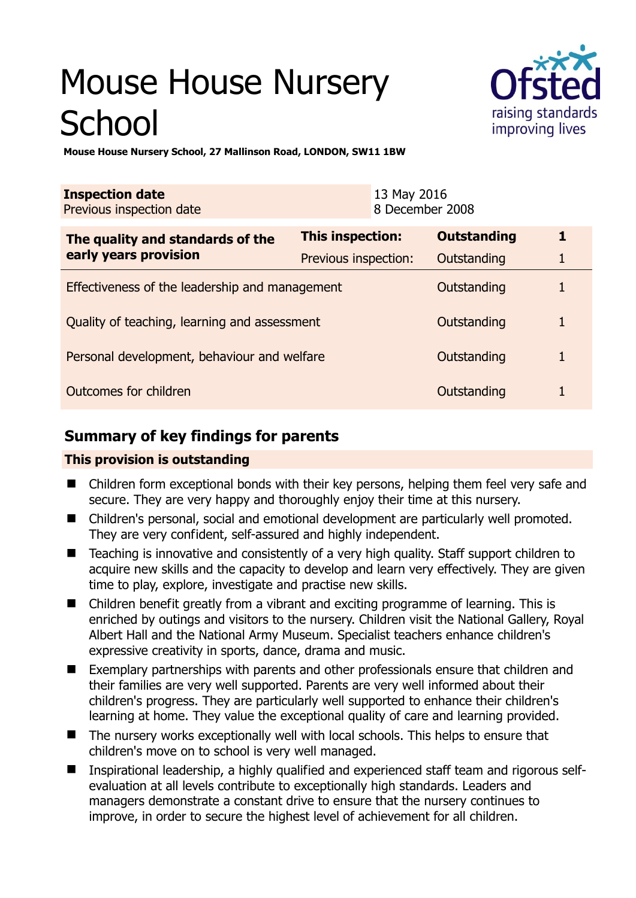# Mouse House Nursery **School**



**Mouse House Nursery School, 27 Mallinson Road, LONDON, SW11 1BW** 

| <b>Inspection date</b><br>Previous inspection date        |                         | 13 May 2016<br>8 December 2008 |             |  |
|-----------------------------------------------------------|-------------------------|--------------------------------|-------------|--|
| The quality and standards of the<br>early years provision | <b>This inspection:</b> | <b>Outstanding</b>             | 1           |  |
|                                                           | Previous inspection:    | Outstanding                    |             |  |
| Effectiveness of the leadership and management            |                         | Outstanding                    |             |  |
| Quality of teaching, learning and assessment              |                         | Outstanding                    | 1           |  |
| Personal development, behaviour and welfare               | Outstanding             | 1                              |             |  |
| Outcomes for children                                     |                         |                                | Outstanding |  |

# **Summary of key findings for parents**

## **This provision is outstanding**

- Children form exceptional bonds with their key persons, helping them feel very safe and secure. They are very happy and thoroughly enjoy their time at this nursery.
- Children's personal, social and emotional development are particularly well promoted. They are very confident, self-assured and highly independent.
- Teaching is innovative and consistently of a very high quality. Staff support children to acquire new skills and the capacity to develop and learn very effectively. They are given time to play, explore, investigate and practise new skills.
- Children benefit greatly from a vibrant and exciting programme of learning. This is enriched by outings and visitors to the nursery. Children visit the National Gallery, Royal Albert Hall and the National Army Museum. Specialist teachers enhance children's expressive creativity in sports, dance, drama and music.
- Exemplary partnerships with parents and other professionals ensure that children and their families are very well supported. Parents are very well informed about their children's progress. They are particularly well supported to enhance their children's learning at home. They value the exceptional quality of care and learning provided.
- The nursery works exceptionally well with local schools. This helps to ensure that children's move on to school is very well managed.
- Inspirational leadership, a highly qualified and experienced staff team and rigorous selfevaluation at all levels contribute to exceptionally high standards. Leaders and managers demonstrate a constant drive to ensure that the nursery continues to improve, in order to secure the highest level of achievement for all children.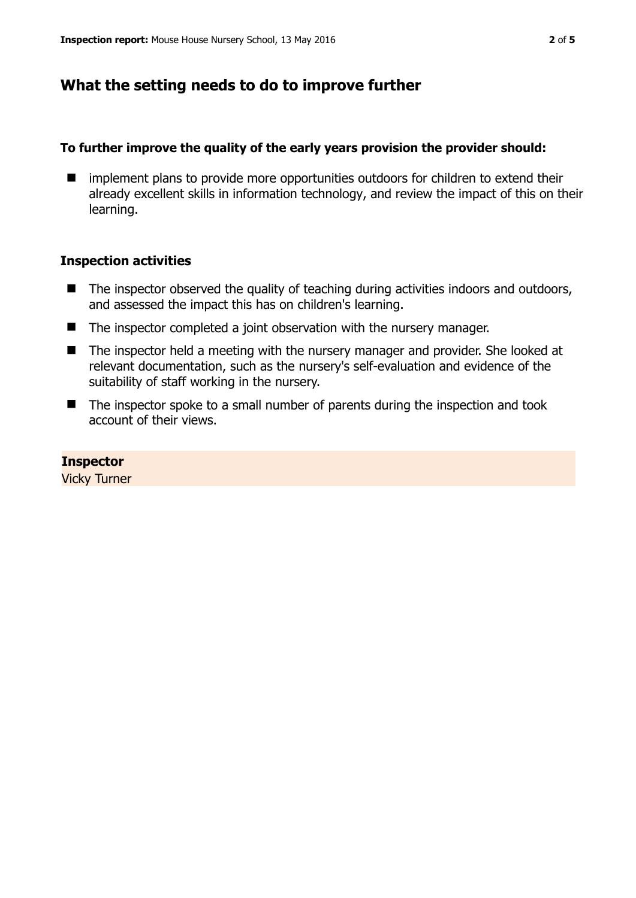## **What the setting needs to do to improve further**

#### **To further improve the quality of the early years provision the provider should:**

 $\blacksquare$  implement plans to provide more opportunities outdoors for children to extend their already excellent skills in information technology, and review the impact of this on their learning.

## **Inspection activities**

- $\blacksquare$  The inspector observed the quality of teaching during activities indoors and outdoors, and assessed the impact this has on children's learning.
- The inspector completed a joint observation with the nursery manager.
- The inspector held a meeting with the nursery manager and provider. She looked at relevant documentation, such as the nursery's self-evaluation and evidence of the suitability of staff working in the nursery.
- The inspector spoke to a small number of parents during the inspection and took account of their views.

**Inspector** 

Vicky Turner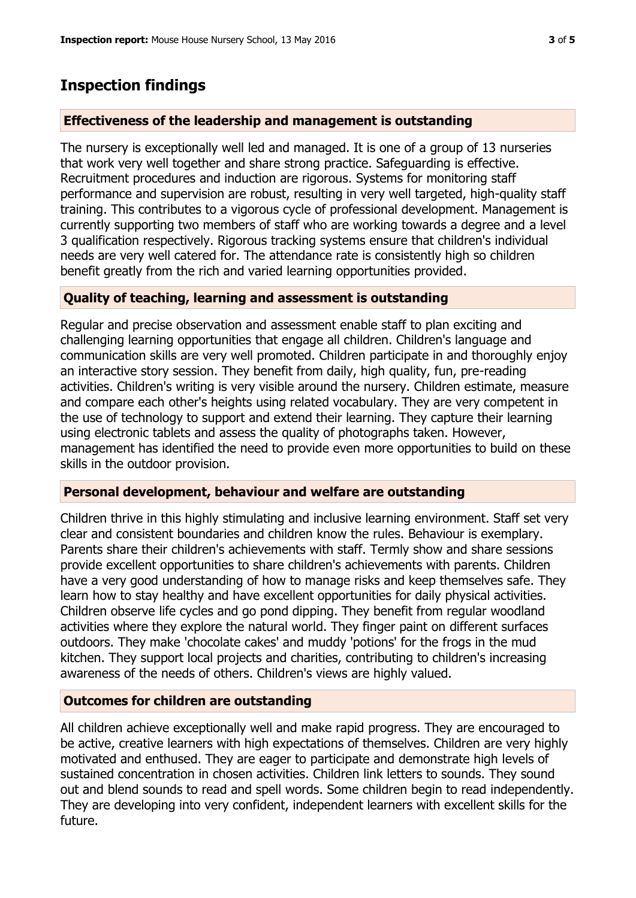## **Inspection findings**

## **Effectiveness of the leadership and management is outstanding**

The nursery is exceptionally well led and managed. It is one of a group of 13 nurseries that work very well together and share strong practice. Safeguarding is effective. Recruitment procedures and induction are rigorous. Systems for monitoring staff performance and supervision are robust, resulting in very well targeted, high-quality staff training. This contributes to a vigorous cycle of professional development. Management is currently supporting two members of staff who are working towards a degree and a level 3 qualification respectively. Rigorous tracking systems ensure that children's individual needs are very well catered for. The attendance rate is consistently high so children benefit greatly from the rich and varied learning opportunities provided.

## **Quality of teaching, learning and assessment is outstanding**

Regular and precise observation and assessment enable staff to plan exciting and challenging learning opportunities that engage all children. Children's language and communication skills are very well promoted. Children participate in and thoroughly enjoy an interactive story session. They benefit from daily, high quality, fun, pre-reading activities. Children's writing is very visible around the nursery. Children estimate, measure and compare each other's heights using related vocabulary. They are very competent in the use of technology to support and extend their learning. They capture their learning using electronic tablets and assess the quality of photographs taken. However, management has identified the need to provide even more opportunities to build on these skills in the outdoor provision.

## **Personal development, behaviour and welfare are outstanding**

Children thrive in this highly stimulating and inclusive learning environment. Staff set very clear and consistent boundaries and children know the rules. Behaviour is exemplary. Parents share their children's achievements with staff. Termly show and share sessions provide excellent opportunities to share children's achievements with parents. Children have a very good understanding of how to manage risks and keep themselves safe. They learn how to stay healthy and have excellent opportunities for daily physical activities. Children observe life cycles and go pond dipping. They benefit from regular woodland activities where they explore the natural world. They finger paint on different surfaces outdoors. They make 'chocolate cakes' and muddy 'potions' for the frogs in the mud kitchen. They support local projects and charities, contributing to children's increasing awareness of the needs of others. Children's views are highly valued.

## **Outcomes for children are outstanding**

All children achieve exceptionally well and make rapid progress. They are encouraged to be active, creative learners with high expectations of themselves. Children are very highly motivated and enthused. They are eager to participate and demonstrate high levels of sustained concentration in chosen activities. Children link letters to sounds. They sound out and blend sounds to read and spell words. Some children begin to read independently. They are developing into very confident, independent learners with excellent skills for the future.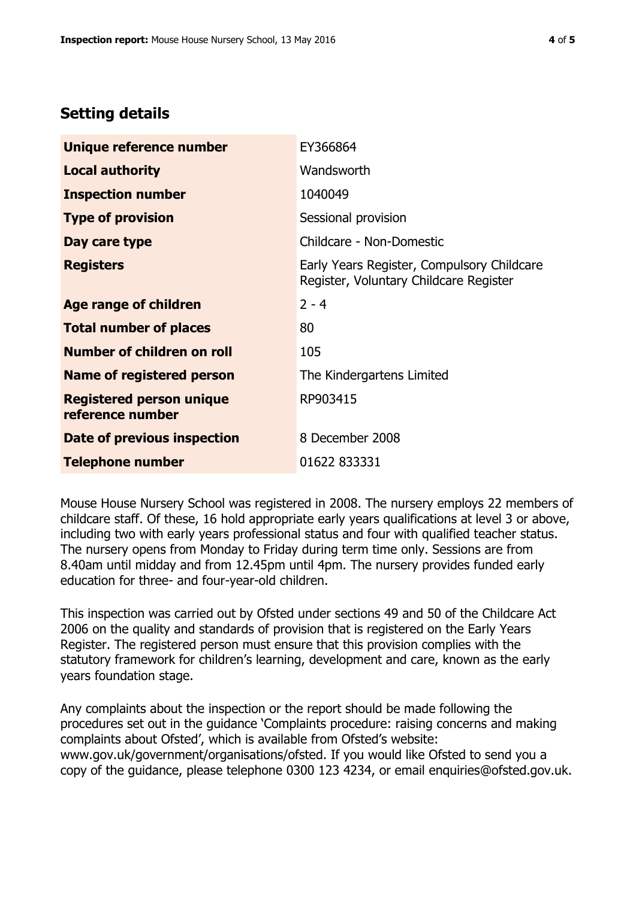## **Setting details**

| Unique reference number                             | EY366864                                                                             |  |
|-----------------------------------------------------|--------------------------------------------------------------------------------------|--|
| <b>Local authority</b>                              | Wandsworth                                                                           |  |
| <b>Inspection number</b>                            | 1040049                                                                              |  |
| <b>Type of provision</b>                            | Sessional provision                                                                  |  |
| Day care type                                       | Childcare - Non-Domestic                                                             |  |
| <b>Registers</b>                                    | Early Years Register, Compulsory Childcare<br>Register, Voluntary Childcare Register |  |
| Age range of children                               | $2 - 4$                                                                              |  |
| <b>Total number of places</b>                       | 80                                                                                   |  |
| Number of children on roll                          | 105                                                                                  |  |
| Name of registered person                           | The Kindergartens Limited                                                            |  |
| <b>Registered person unique</b><br>reference number | RP903415                                                                             |  |
| Date of previous inspection                         | 8 December 2008                                                                      |  |
| <b>Telephone number</b>                             | 01622 833331                                                                         |  |

Mouse House Nursery School was registered in 2008. The nursery employs 22 members of childcare staff. Of these, 16 hold appropriate early years qualifications at level 3 or above, including two with early years professional status and four with qualified teacher status. The nursery opens from Monday to Friday during term time only. Sessions are from 8.40am until midday and from 12.45pm until 4pm. The nursery provides funded early education for three- and four-year-old children.

This inspection was carried out by Ofsted under sections 49 and 50 of the Childcare Act 2006 on the quality and standards of provision that is registered on the Early Years Register. The registered person must ensure that this provision complies with the statutory framework for children's learning, development and care, known as the early years foundation stage.

Any complaints about the inspection or the report should be made following the procedures set out in the guidance 'Complaints procedure: raising concerns and making complaints about Ofsted', which is available from Ofsted's website: www.gov.uk/government/organisations/ofsted. If you would like Ofsted to send you a copy of the guidance, please telephone 0300 123 4234, or email enquiries@ofsted.gov.uk.